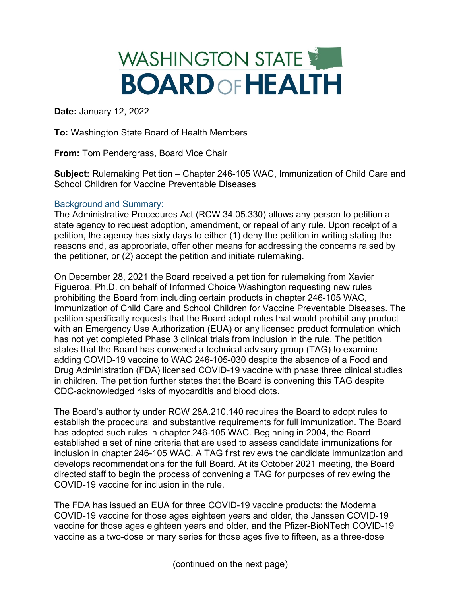## WASHINGTON STATE **BOARD OF HEALTH**

**Date:** January 12, 2022

**To:** Washington State Board of Health Members

**From:** Tom Pendergrass, Board Vice Chair

**Subject:** Rulemaking Petition – Chapter 246-105 WAC, Immunization of Child Care and School Children for Vaccine Preventable Diseases

## Background and Summary:

The Administrative Procedures Act (RCW 34.05.330) allows any person to petition a state agency to request adoption, amendment, or repeal of any rule. Upon receipt of a petition, the agency has sixty days to either (1) deny the petition in writing stating the reasons and, as appropriate, offer other means for addressing the concerns raised by the petitioner, or (2) accept the petition and initiate rulemaking.

On December 28, 2021 the Board received a petition for rulemaking from Xavier Figueroa, Ph.D. on behalf of Informed Choice Washington requesting new rules prohibiting the Board from including certain products in chapter 246-105 WAC, Immunization of Child Care and School Children for Vaccine Preventable Diseases. The petition specifically requests that the Board adopt rules that would prohibit any product with an Emergency Use Authorization (EUA) or any licensed product formulation which has not yet completed Phase 3 clinical trials from inclusion in the rule. The petition states that the Board has convened a technical advisory group (TAG) to examine adding COVID-19 vaccine to WAC 246-105-030 despite the absence of a Food and Drug Administration (FDA) licensed COVID-19 vaccine with phase three clinical studies in children. The petition further states that the Board is convening this TAG despite CDC-acknowledged risks of myocarditis and blood clots.

The Board's authority under RCW 28A.210.140 requires the Board to adopt rules to establish the procedural and substantive requirements for full immunization. The Board has adopted such rules in chapter 246-105 WAC. Beginning in 2004, the Board established a set of nine criteria that are used to assess candidate immunizations for inclusion in chapter 246-105 WAC. A TAG first reviews the candidate immunization and develops recommendations for the full Board. At its October 2021 meeting, the Board directed staff to begin the process of convening a TAG for purposes of reviewing the COVID-19 vaccine for inclusion in the rule.

The FDA has issued an EUA for three COVID-19 vaccine products: the Moderna COVID-19 vaccine for those ages eighteen years and older, the Janssen COVID-19 vaccine for those ages eighteen years and older, and the Pfizer-BioNTech COVID-19 vaccine as a two-dose primary series for those ages five to fifteen, as a three-dose